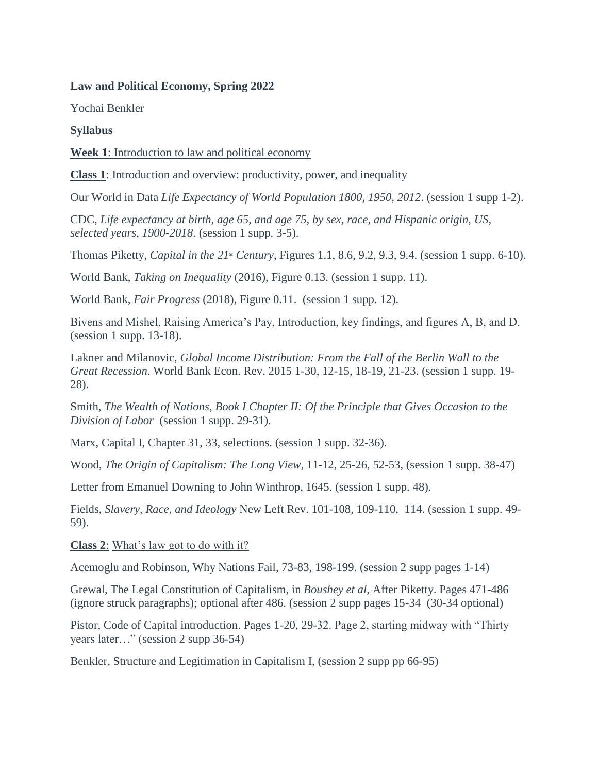### **Law and Political Economy, Spring 2022**

Yochai Benkler

## **Syllabus**

**Week 1**: Introduction to law and political economy

**Class 1**: Introduction and overview: productivity, power, and inequality

Our World in Data *Life Expectancy of World Population 1800, 1950, 2012*. (session 1 supp 1-2).

CDC, *Life expectancy at birth, age 65, and age 75, by sex, race, and Hispanic origin, US, selected years, 1900-2018*. (session 1 supp. 3-5).

Thomas Piketty, *Capital in the 21st Century*, Figures 1.1, 8.6, 9.2, 9.3, 9.4. (session 1 supp. 6-10).

World Bank, *Taking on Inequality* (2016), Figure 0.13. (session 1 supp. 11).

World Bank, *Fair Progress* (2018), Figure 0.11. (session 1 supp. 12).

Bivens and Mishel, Raising America's Pay, Introduction, key findings, and figures A, B, and D. (session 1 supp. 13-18).

Lakner and Milanovic, *Global Income Distribution: From the Fall of the Berlin Wall to the Great Recession*. World Bank Econ. Rev. 2015 1-30, 12-15, 18-19, 21-23. (session 1 supp. 19- 28).

Smith, *The Wealth of Nations*, *Book I Chapter II: Of the Principle that Gives Occasion to the Division of Labor* (session 1 supp. 29-31).

Marx, Capital I, Chapter 31, 33, selections. (session 1 supp. 32-36).

Wood, *The Origin of Capitalism: The Long View*, 11-12, 25-26, 52-53, (session 1 supp. 38-47)

Letter from Emanuel Downing to John Winthrop, 1645. (session 1 supp. 48).

Fields, *Slavery, Race, and Ideology* New Left Rev. 101-108, 109-110, 114. (session 1 supp. 49- 59).

**Class 2**: What's law got to do with it?

Acemoglu and Robinson, Why Nations Fail, 73-83, 198-199. (session 2 supp pages 1-14)

Grewal, The Legal Constitution of Capitalism, in *Boushey et al,* After Piketty. Pages 471-486 (ignore struck paragraphs); optional after 486. (session 2 supp pages 15-34 (30-34 optional)

Pistor, Code of Capital introduction. Pages 1-20, 29-32. Page 2, starting midway with "Thirty years later…" (session 2 supp 36-54)

Benkler, Structure and Legitimation in Capitalism I, (session 2 supp pp 66-95)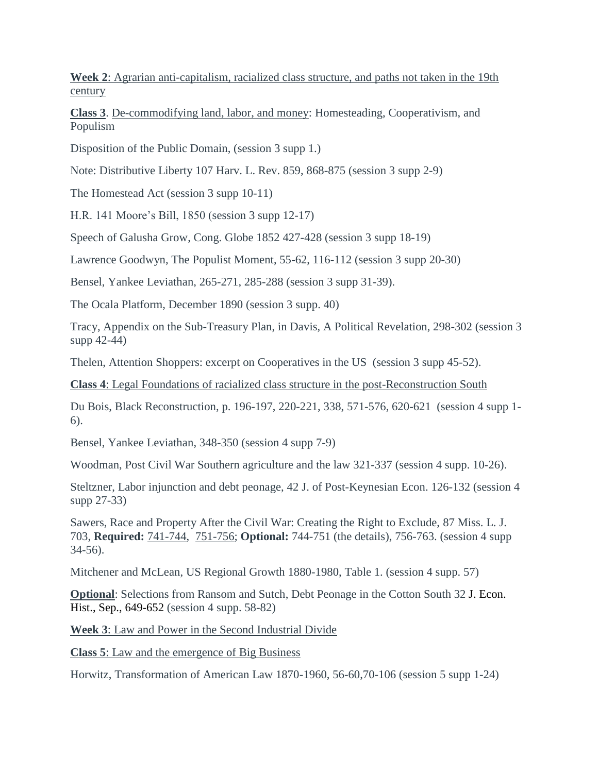**Week 2**: Agrarian anti-capitalism, racialized class structure, and paths not taken in the 19th century

**Class 3**. De-commodifying land, labor, and money: Homesteading, Cooperativism, and Populism

Disposition of the Public Domain, (session 3 supp 1.)

Note: Distributive Liberty 107 Harv. L. Rev. 859, 868-875 (session 3 supp 2-9)

The Homestead Act (session 3 supp 10-11)

H.R. 141 Moore's Bill, 1850 (session 3 supp 12-17)

Speech of Galusha Grow, Cong. Globe 1852 427-428 (session 3 supp 18-19)

Lawrence Goodwyn, The Populist Moment, 55-62, 116-112 (session 3 supp 20-30)

Bensel, Yankee Leviathan, 265-271, 285-288 (session 3 supp 31-39).

The Ocala Platform, December 1890 (session 3 supp. 40)

Tracy, Appendix on the Sub-Treasury Plan, in Davis, A Political Revelation, 298-302 (session 3 supp 42-44)

Thelen, Attention Shoppers: excerpt on Cooperatives in the US (session 3 supp 45-52).

**Class 4**: Legal Foundations of racialized class structure in the post-Reconstruction South

Du Bois, Black Reconstruction, p. 196-197, 220-221, 338, 571-576, 620-621 (session 4 supp 1- 6).

Bensel, Yankee Leviathan, 348-350 (session 4 supp 7-9)

Woodman, Post Civil War Southern agriculture and the law 321-337 (session 4 supp. 10-26).

Steltzner, Labor injunction and debt peonage, 42 J. of Post-Keynesian Econ. 126-132 (session 4 supp 27-33)

Sawers, Race and Property After the Civil War: Creating the Right to Exclude, 87 Miss. L. J. 703, **Required:** 741-744, 751-756; **Optional:** 744-751 (the details), 756-763. (session 4 supp 34-56).

Mitchener and McLean, US Regional Growth 1880-1980, Table 1. (session 4 supp. 57)

**Optional:** Selections from Ransom and Sutch, Debt Peonage in the Cotton South 32 J. Econ. Hist., Sep., 649-652 (session 4 supp. 58-82)

**Week 3**: Law and Power in the Second Industrial Divide

**Class 5**: Law and the emergence of Big Business

Horwitz, Transformation of American Law 1870-1960, 56-60,70-106 (session 5 supp 1-24)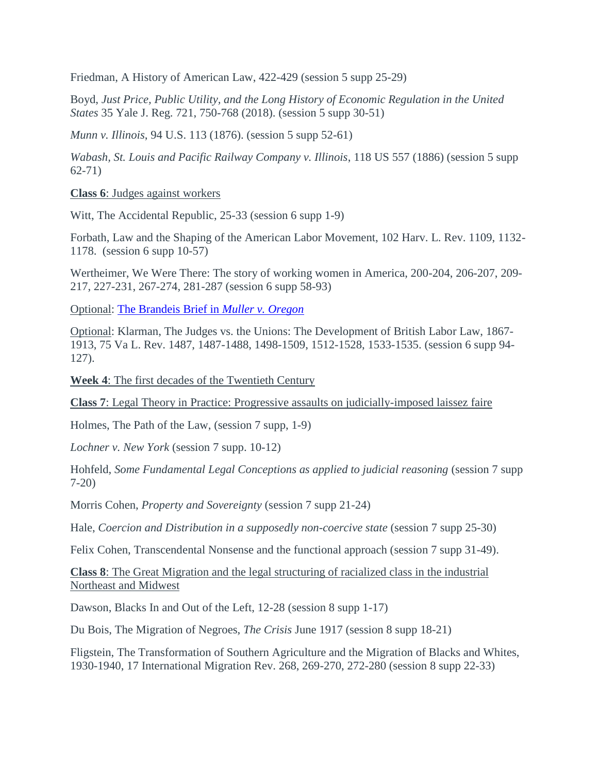Friedman, A History of American Law, 422-429 (session 5 supp 25-29)

Boyd, *Just Price, Public Utility, and the Long History of Economic Regulation in the United States* 35 Yale J. Reg. 721, 750-768 (2018). (session 5 supp 30-51)

*Munn v. Illinois*, 94 U.S. 113 (1876). (session 5 supp 52-61)

*Wabash, St. Louis and Pacific Railway Company v. Illinois*, 118 US 557 (1886) (session 5 supp 62-71)

**Class 6**: Judges against workers

Witt, The Accidental Republic, 25-33 (session 6 supp 1-9)

Forbath, Law and the Shaping of the American Labor Movement, 102 Harv. L. Rev. 1109, 1132- 1178. (session 6 supp 10-57)

Wertheimer, We Were There: The story of working women in America, 200-204, 206-207, 209- 217, 227-231, 267-274, 281-287 (session 6 supp 58-93)

Optional: [The Brandeis Brief in](https://louisville.edu/law/library/special-collections/the-louis-d.-brandeis-collection/the-brandeis-brief-in-its-entirety) *Muller v. Oregon*

Optional: Klarman, The Judges vs. the Unions: The Development of British Labor Law, 1867- 1913, 75 Va L. Rev. 1487, 1487-1488, 1498-1509, 1512-1528, 1533-1535. (session 6 supp 94- 127).

**Week 4**: The first decades of the Twentieth Century

**Class 7**: Legal Theory in Practice: Progressive assaults on judicially-imposed laissez faire

Holmes, The Path of the Law, (session 7 supp, 1-9)

*Lochner v. New York* (session 7 supp. 10-12)

Hohfeld, *Some Fundamental Legal Conceptions as applied to judicial reasoning* (session 7 supp 7-20)

Morris Cohen, *Property and Sovereignty* (session 7 supp 21-24)

Hale, *Coercion and Distribution in a supposedly non-coercive state* (session 7 supp 25-30)

Felix Cohen, Transcendental Nonsense and the functional approach (session 7 supp 31-49).

**Class 8**: The Great Migration and the legal structuring of racialized class in the industrial Northeast and Midwest

Dawson, Blacks In and Out of the Left, 12-28 (session 8 supp 1-17)

Du Bois, The Migration of Negroes, *The Crisis* June 1917 (session 8 supp 18-21)

Fligstein, The Transformation of Southern Agriculture and the Migration of Blacks and Whites, 1930-1940, 17 International Migration Rev. 268, 269-270, 272-280 (session 8 supp 22-33)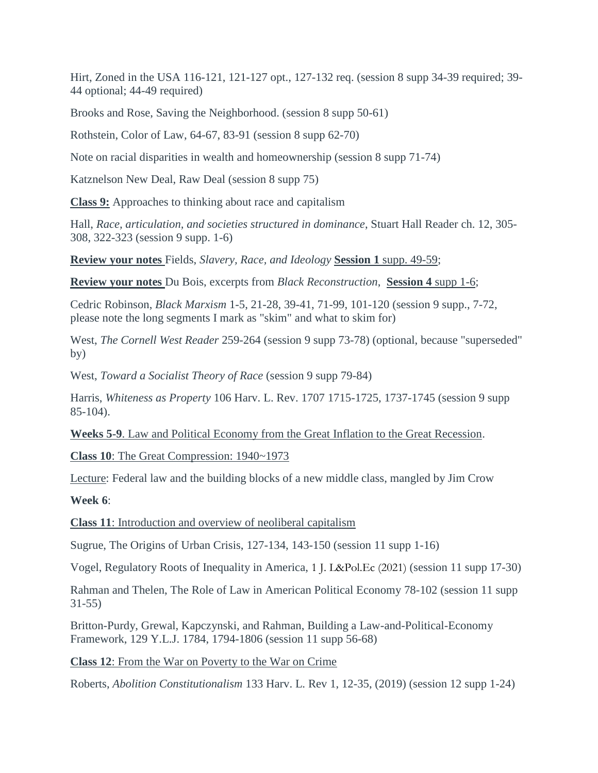Hirt, Zoned in the USA 116-121, 121-127 opt., 127-132 req. (session 8 supp 34-39 required; 39- 44 optional; 44-49 required)

Brooks and Rose, Saving the Neighborhood. (session 8 supp 50-61)

Rothstein, Color of Law, 64-67, 83-91 (session 8 supp 62-70)

Note on racial disparities in wealth and homeownership (session 8 supp 71-74)

Katznelson New Deal, Raw Deal (session 8 supp 75)

**Class 9:** Approaches to thinking about race and capitalism

Hall, *Race, articulation, and societies structured in dominance*, Stuart Hall Reader ch. 12, 305- 308, 322-323 (session 9 supp. 1-6)

**Review your notes** Fields, *Slavery, Race, and Ideology* **Session 1** supp. 49-59;

**Review your notes** Du Bois, excerpts from *Black Reconstruction*, **Session 4** supp 1-6;

Cedric Robinson, *Black Marxism* 1-5, 21-28, 39-41, 71-99, 101-120 (session 9 supp., 7-72, please note the long segments I mark as "skim" and what to skim for)

West, *The Cornell West Reader* 259-264 (session 9 supp 73-78) (optional, because "superseded" by)

West, *Toward a Socialist Theory of Race* (session 9 supp 79-84)

Harris, *Whiteness as Property* 106 Harv. L. Rev. 1707 1715-1725, 1737-1745 (session 9 supp 85-104).

**Weeks 5-9**. Law and Political Economy from the Great Inflation to the Great Recession.

**Class 10**: The Great Compression: 1940~1973

Lecture: Federal law and the building blocks of a new middle class, mangled by Jim Crow

**Week 6**:

**Class 11**: Introduction and overview of neoliberal capitalism

Sugrue, The Origins of Urban Crisis, 127-134, 143-150 (session 11 supp 1-16)

Vogel, Regulatory Roots of Inequality in America, 1 J. L&Pol.Ec (2021) (session 11 supp 17-30)

Rahman and Thelen, The Role of Law in American Political Economy 78-102 (session 11 supp 31-55)

Britton-Purdy, Grewal, Kapczynski, and Rahman, Building a Law-and-Political-Economy Framework, 129 Y.L.J. 1784, 1794-1806 (session 11 supp 56-68)

**Class 12**: From the War on Poverty to the War on Crime

Roberts, *Abolition Constitutionalism* 133 Harv. L. Rev 1, 12-35, (2019) (session 12 supp 1-24)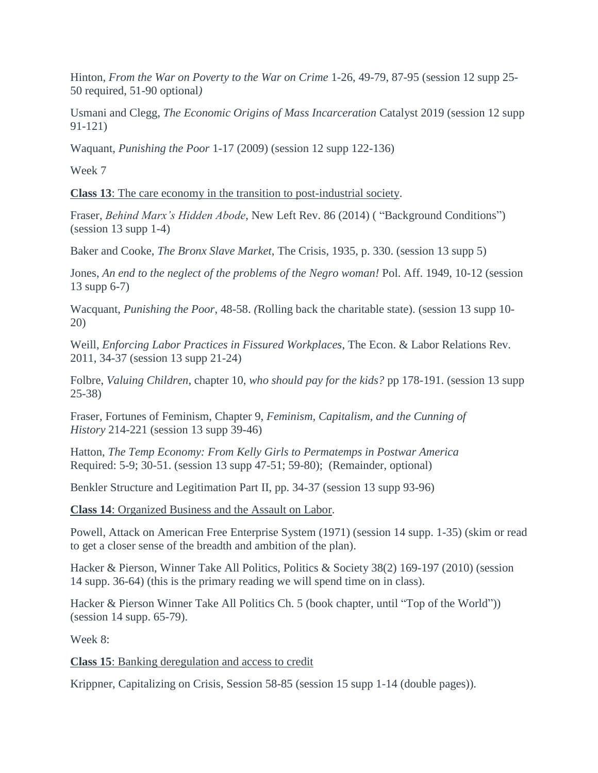Hinton, *From the War on Poverty to the War on Crime* 1-26, 49-79, 87-95 (session 12 supp 25- 50 required, 51-90 optional*)*

Usmani and Clegg, *The Economic Origins of Mass Incarceration* Catalyst 2019 (session 12 supp 91-121)

Waquant, *Punishing the Poor* 1-17 (2009) (session 12 supp 122-136)

Week 7

**Class 13**: The care economy in the transition to post-industrial society.

Fraser, *Behind Marx's Hidden Abode*, New Left Rev. 86 (2014) ( "Background Conditions") (session 13 supp 1-4)

Baker and Cooke, *The Bronx Slave Market*, The Crisis, 1935, p. 330. (session 13 supp 5)

Jones, *An end to the neglect of the problems of the Negro woman!* Pol. Aff. 1949, 10-12 (session 13 supp 6-7)

Wacquant, *Punishing the Poor*, 48-58. *(*Rolling back the charitable state). (session 13 supp 10- 20)

Weill, *Enforcing Labor Practices in Fissured Workplaces*, The Econ. & Labor Relations Rev. 2011, 34-37 (session 13 supp 21-24)

Folbre, *Valuing Children*, chapter 10, *who should pay for the kids?* pp 178-191. (session 13 supp 25-38)

Fraser, Fortunes of Feminism, Chapter 9, *Feminism, Capitalism, and the Cunning of History* 214-221 (session 13 supp 39-46)

Hatton, *The Temp Economy: From Kelly Girls to Permatemps in Postwar America* Required: 5-9; 30-51. (session 13 supp 47-51; 59-80); (Remainder, optional)

Benkler Structure and Legitimation Part II, pp. 34-37 (session 13 supp 93-96)

**Class 14**: Organized Business and the Assault on Labor.

Powell, Attack on American Free Enterprise System (1971) (session 14 supp. 1-35) (skim or read to get a closer sense of the breadth and ambition of the plan).

Hacker & Pierson, Winner Take All Politics, Politics & Society 38(2) 169-197 (2010) (session 14 supp. 36-64) (this is the primary reading we will spend time on in class).

Hacker & Pierson Winner Take All Politics Ch. 5 (book chapter, until "Top of the World")) (session 14 supp. 65-79).

Week 8:

**Class 15**: Banking deregulation and access to credit

Krippner, Capitalizing on Crisis, Session 58-85 (session 15 supp 1-14 (double pages)).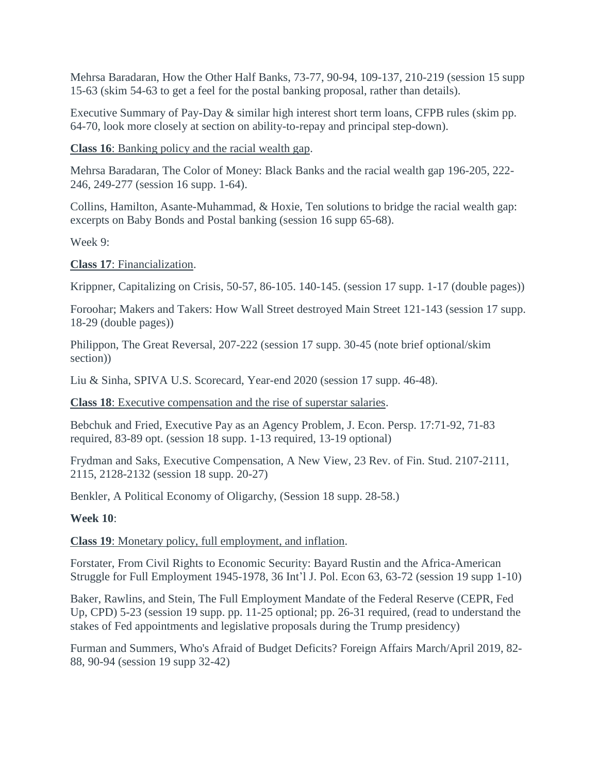Mehrsa Baradaran, How the Other Half Banks, 73-77, 90-94, 109-137, 210-219 (session 15 supp 15-63 (skim 54-63 to get a feel for the postal banking proposal, rather than details).

Executive Summary of Pay-Day & similar high interest short term loans, CFPB rules (skim pp. 64-70, look more closely at section on ability-to-repay and principal step-down).

**Class 16**: Banking policy and the racial wealth gap.

Mehrsa Baradaran, The Color of Money: Black Banks and the racial wealth gap 196-205, 222- 246, 249-277 (session 16 supp. 1-64).

Collins, Hamilton, Asante-Muhammad, & Hoxie, Ten solutions to bridge the racial wealth gap: excerpts on Baby Bonds and Postal banking (session 16 supp 65-68).

Week 9:

**Class 17**: Financialization.

Krippner, Capitalizing on Crisis, 50-57, 86-105. 140-145. (session 17 supp. 1-17 (double pages))

Foroohar; Makers and Takers: How Wall Street destroyed Main Street 121-143 (session 17 supp. 18-29 (double pages))

Philippon, The Great Reversal, 207-222 (session 17 supp. 30-45 (note brief optional/skim section))

Liu & Sinha, SPIVA U.S. Scorecard, Year-end 2020 (session 17 supp. 46-48).

**Class 18**: Executive compensation and the rise of superstar salaries.

Bebchuk and Fried, Executive Pay as an Agency Problem, J. Econ. Persp. 17:71-92, 71-83 required, 83-89 opt. (session 18 supp. 1-13 required, 13-19 optional)

Frydman and Saks, Executive Compensation, A New View, 23 Rev. of Fin. Stud. 2107-2111, 2115, 2128-2132 (session 18 supp. 20-27)

Benkler, A Political Economy of Oligarchy, (Session 18 supp. 28-58.)

#### **Week 10**:

**Class 19**: Monetary policy, full employment, and inflation.

Forstater, From Civil Rights to Economic Security: Bayard Rustin and the Africa-American Struggle for Full Employment 1945-1978, 36 Int'l J. Pol. Econ 63, 63-72 (session 19 supp 1-10)

Baker, Rawlins, and Stein, The Full Employment Mandate of the Federal Reserve (CEPR, Fed Up, CPD) 5-23 (session 19 supp. pp. 11-25 optional; pp. 26-31 required, (read to understand the stakes of Fed appointments and legislative proposals during the Trump presidency)

Furman and Summers, Who's Afraid of Budget Deficits? Foreign Affairs March/April 2019, 82- 88, 90-94 (session 19 supp 32-42)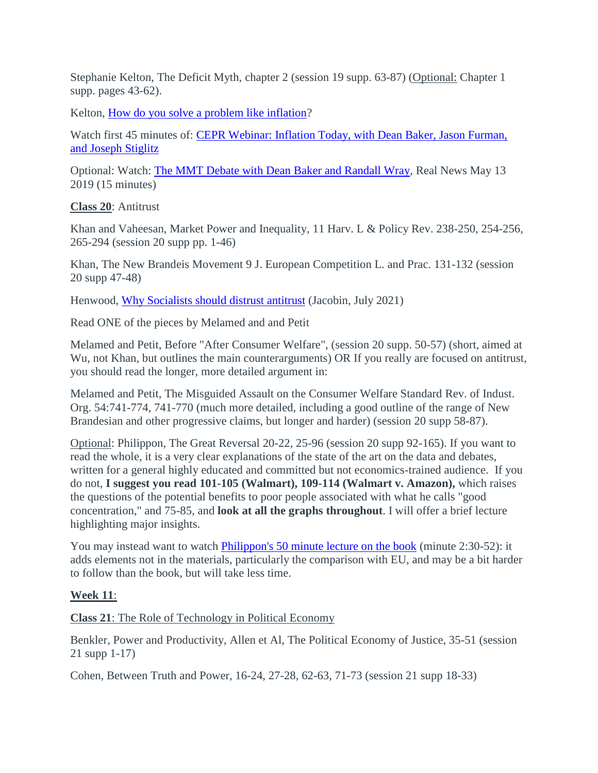Stephanie Kelton, The Deficit Myth, chapter 2 (session 19 supp. 63-87) (Optional: Chapter 1 supp. pages 43-62).

Kelton, [How do you solve a problem like inflation?](https://stephaniekelton.substack.com/p/how-do-you-solve-a-problem-like-inflation?s=r)

Watch first 45 minutes of: [CEPR Webinar: Inflation Today, with Dean Baker, Jason Furman,](https://www.cepr.net/inflation-today-economists-joseph-stiglitz-dean-baker-and-jason-furman-discuss-us-inflation/)  [and Joseph Stiglitz](https://www.cepr.net/inflation-today-economists-joseph-stiglitz-dean-baker-and-jason-furman-discuss-us-inflation/)

Optional: Watch: [The MMT Debate with Dean Baker and Randall Wray,](https://therealnews.com/the-mmt-debate-with-dean-baker-randall-wray) Real News May 13 2019 (15 minutes)

**Class 20**: Antitrust

Khan and Vaheesan, Market Power and Inequality, 11 Harv. L & Policy Rev. 238-250, 254-256, 265-294 (session 20 supp pp. 1-46)

Khan, The New Brandeis Movement 9 J. European Competition L. and Prac. 131-132 (session 20 supp 47-48)

Henwood, [Why Socialists should distrust antitrust](https://www.jacobinmag.com/2021/07/antitrust-law-monopolies-small-business-competition-large-corporations-bigness) (Jacobin, July 2021)

Read ONE of the pieces by Melamed and and Petit

Melamed and Petit, Before "After Consumer Welfare", (session 20 supp. 50-57) (short, aimed at Wu, not Khan, but outlines the main counterarguments) OR If you really are focused on antitrust, you should read the longer, more detailed argument in:

Melamed and Petit, The Misguided Assault on the Consumer Welfare Standard Rev. of Indust. Org. 54:741-774, 741-770 (much more detailed, including a good outline of the range of New Brandesian and other progressive claims, but longer and harder) (session 20 supp 58-87).

Optional: Philippon, The Great Reversal 20-22, 25-96 (session 20 supp 92-165). If you want to read the whole, it is a very clear explanations of the state of the art on the data and debates, written for a general highly educated and committed but not economics-trained audience. If you do not, **I suggest you read 101-105 (Walmart), 109-114 (Walmart v. Amazon),** which raises the questions of the potential benefits to poor people associated with what he calls "good concentration," and 75-85, and **look at all the graphs throughout**. I will offer a brief lecture highlighting major insights.

You may instead want to watch [Philippon's 50 minute lecture on the book](https://www.youtube.com/watch?v=nVGlfPOSi1o) (minute 2:30-52): it adds elements not in the materials, particularly the comparison with EU, and may be a bit harder to follow than the book, but will take less time.

# **Week 11**:

**Class 21**: The Role of Technology in Political Economy

Benkler, Power and Productivity, Allen et Al, The Political Economy of Justice, 35-51 (session 21 supp 1-17)

Cohen, Between Truth and Power, 16-24, 27-28, 62-63, 71-73 (session 21 supp 18-33)